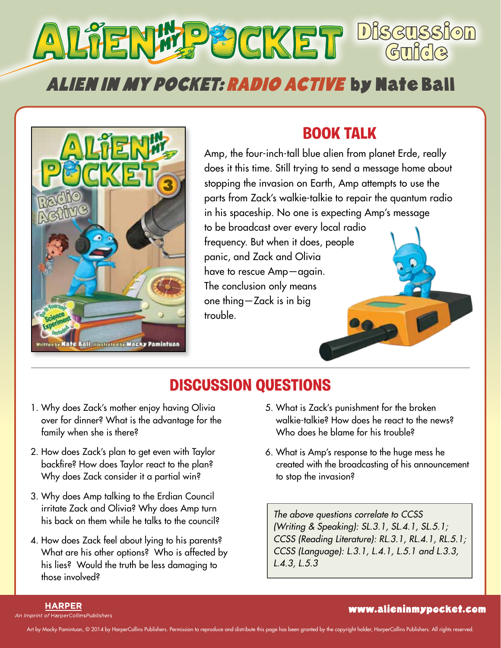# **Discussion** Guide Alien in My Pocket: Radio Active by Nate Ball



## **Book Talk**

Amp, the four-inch-tall blue alien from planet Erde, really does it this time. Still trying to send a message home about stopping the invasion on Earth, Amp attempts to use the parts from Zack's walkie-talkie to repair the quantum radio in his spaceship. No one is expecting Amp's message to be broadcast over every local radio frequency. But when it does, people panic, and Zack and Olivia have to rescue Amp—again. The conclusion only means one thing—Zack is in big trouble.

## **Discussion Questions**

- 1. Why does Zack's mother enjoy having Olivia over for dinner? What is the advantage for the family when she is there?
- 2. How does Zack's plan to get even with Taylor backfire? How does Taylor react to the plan? Why does Zack consider it a partial win?
- 3. Why does Amp talking to the Erdian Council irritate Zack and Olivia? Why does Amp turn his back on them while he talks to the council?
- 4. How does Zack feel about lying to his parents? What are his other options? Who is affected by his lies? Would the truth be less damaging to those involved?
- 5. What is Zack's punishment for the broken walkie-talkie? How does he react to the news? Who does he blame for his trouble?
- 6. What is Amp's response to the huge mess he created with the broadcasting of his announcement to stop the invasion?

*The above questions correlate to CCSS (Writing & Speaking): SL.3.1, SL.4.1, SL.5.1; CCSS (Reading Literature): RL.3.1, RL.4.1, RL.5.1; CCSS (Language): L.3.1, L.4.1, L.5.1 and L.3.3, L.4.3, L.5.3*

#### **HARPER**

An Imprint of HarperCollinsPublishers

#### www.alieninmypocket.com

Art by Macky Pamintuan, © 2014 by HarperCollins Publishers. Permission to reproduce and distribute this page has been granted by the copyright holder, HarperCollins Publishers. All rights reserved.